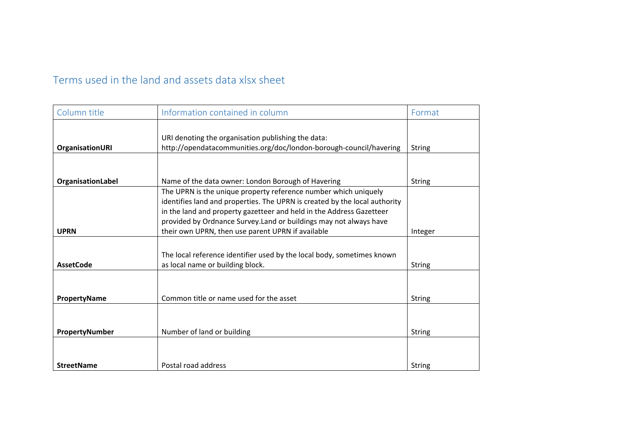## Terms used in the land and assets data xlsx sheet

| Column title           | Information contained in column                                            | Format        |
|------------------------|----------------------------------------------------------------------------|---------------|
|                        |                                                                            |               |
|                        | URI denoting the organisation publishing the data:                         |               |
| <b>OrganisationURI</b> | http://opendatacommunities.org/doc/london-borough-council/havering         | <b>String</b> |
|                        |                                                                            |               |
|                        |                                                                            |               |
| OrganisationLabel      | Name of the data owner: London Borough of Havering                         | <b>String</b> |
|                        | The UPRN is the unique property reference number which uniquely            |               |
|                        | identifies land and properties. The UPRN is created by the local authority |               |
|                        | in the land and property gazetteer and held in the Address Gazetteer       |               |
|                        | provided by Ordnance Survey. Land or buildings may not always have         |               |
| <b>UPRN</b>            | their own UPRN, then use parent UPRN if available                          | Integer       |
|                        |                                                                            |               |
|                        | The local reference identifier used by the local body, sometimes known     |               |
| <b>AssetCode</b>       | as local name or building block.                                           | String        |
|                        |                                                                            |               |
|                        |                                                                            |               |
| PropertyName           | Common title or name used for the asset                                    | <b>String</b> |
|                        |                                                                            |               |
|                        |                                                                            |               |
| PropertyNumber         | Number of land or building                                                 | <b>String</b> |
|                        |                                                                            |               |
|                        |                                                                            |               |
| <b>StreetName</b>      | Postal road address                                                        | <b>String</b> |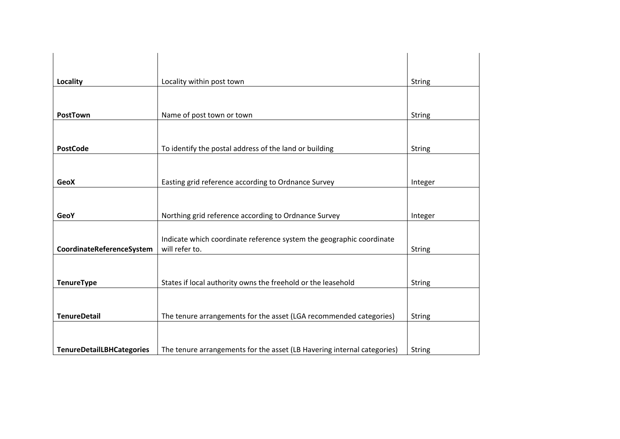| Locality                         | Locality within post town                                               | <b>String</b> |
|----------------------------------|-------------------------------------------------------------------------|---------------|
|                                  |                                                                         |               |
| PostTown                         | Name of post town or town                                               | <b>String</b> |
|                                  |                                                                         |               |
| <b>PostCode</b>                  | To identify the postal address of the land or building                  | <b>String</b> |
|                                  |                                                                         |               |
| <b>GeoX</b>                      | Easting grid reference according to Ordnance Survey                     | Integer       |
|                                  |                                                                         |               |
| <b>GeoY</b>                      | Northing grid reference according to Ordnance Survey                    | Integer       |
|                                  | Indicate which coordinate reference system the geographic coordinate    |               |
| CoordinateReferenceSystem        | will refer to.                                                          | <b>String</b> |
|                                  |                                                                         |               |
| <b>TenureType</b>                | States if local authority owns the freehold or the leasehold            | <b>String</b> |
|                                  |                                                                         |               |
| <b>TenureDetail</b>              | The tenure arrangements for the asset (LGA recommended categories)      | <b>String</b> |
|                                  |                                                                         |               |
| <b>TenureDetailLBHCategories</b> | The tenure arrangements for the asset (LB Havering internal categories) | <b>String</b> |